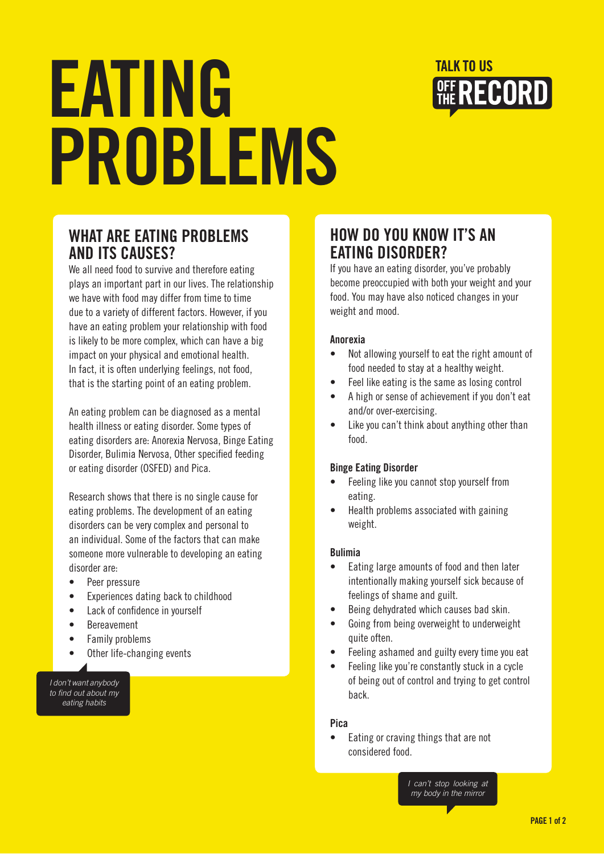

# EATING PROBLEMS

### WHAT ARE EATING PROBLEMS AND ITS CAUSES?

We all need food to survive and therefore eating plays an important part in our lives. The relationship we have with food may differ from time to time due to a variety of different factors. However, if you have an eating problem your relationship with food is likely to be more complex, which can have a big impact on your physical and emotional health. In fact, it is often underlying feelings, not food, that is the starting point of an eating problem.

An eating problem can be diagnosed as a mental health illness or eating disorder. Some types of eating disorders are: Anorexia Nervosa, Binge Eating Disorder, Bulimia Nervosa, Other specified feeding or eating disorder (OSFED) and Pica.

Research shows that there is no single cause for eating problems. The development of an eating disorders can be very complex and personal to an individual. Some of the factors that can make someone more vulnerable to developing an eating disorder are:

- Peer pressure
- Experiences dating back to childhood
- Lack of confidence in yourself
- **Bereavement**
- **Family problems**
- Other life-changing events

*I don't want anybody to find out about my eating habits* 

## HOW DO YOU KNOW IT'S AN EATING DISORDER?

If you have an eating disorder, you've probably become preoccupied with both your weight and your food. You may have also noticed changes in your weight and mood.

#### Anorexia

- Not allowing yourself to eat the right amount of food needed to stay at a healthy weight.
- Feel like eating is the same as losing control
- A high or sense of achievement if you don't eat and/or over-exercising.
- Like you can't think about anything other than food.

#### Binge Eating Disorder

- Feeling like you cannot stop yourself from eating.
- Health problems associated with gaining weight.

#### Bulimia

- Eating large amounts of food and then later intentionally making yourself sick because of feelings of shame and guilt.
- Being dehydrated which causes bad skin.
- Going from being overweight to underweight quite often.
- Feeling ashamed and guilty every time you eat
- Feeling like you're constantly stuck in a cycle of being out of control and trying to get control back.

#### Pica

Eating or craving things that are not considered food.

> *I can't stop looking at my body in the mirror*